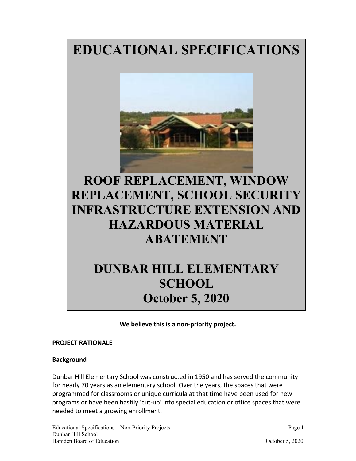# **EDUCATIONAL SPECIFICATIONS**



# **ROOF REPLACEMENT, WINDOW REPLACEMENT, SCHOOL SECURITY INFRASTRUCTURE EXTENSION AND HAZARDOUS MATERIAL ABATEMENT**

# **DUNBAR HILL ELEMENTARY SCHOOL October 5, 2020**

**We believe this is a non‐priority project.** 

### **PROJECT RATIONALE**

### **Background**

Dunbar Hill Elementary School was constructed in 1950 and has served the community for nearly 70 years as an elementary school. Over the years, the spaces that were programmed for classrooms or unique curricula at that time have been used for new programs or have been hastily 'cut‐up' into special education or office spaces that were needed to meet a growing enrollment.

Educational Specifications – Non-Priority Projects Page 1 Dunbar Hill School Hamden Board of Education **Contract Contract Contract Contract Contract Contract Contract Contract Contract Contract Contract Contract Contract Contract Contract Contract Contract Contract Contract Contract Contract Contra**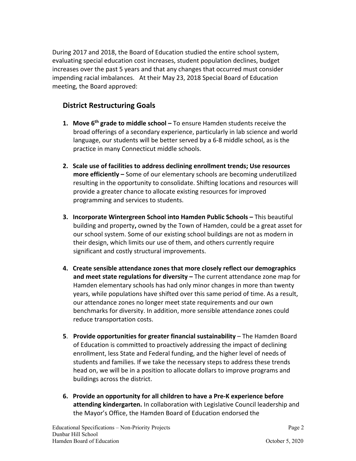During 2017 and 2018, the Board of Education studied the entire school system, evaluating special education cost increases, student population declines, budget increases over the past 5 years and that any changes that occurred must consider impending racial imbalances. At their May 23, 2018 Special Board of Education meeting, the Board approved:

# **District Restructuring Goals**

- **1. Move 6th grade to middle school** To ensure Hamden students receive the broad offerings of a secondary experience, particularly in lab science and world language, our students will be better served by a 6‐8 middle school, as is the practice in many Connecticut middle schools.
- **2. Scale use of facilities to address declining enrollment trends; Use resources more efficiently –** Some of our elementary schools are becoming underutilized resulting in the opportunity to consolidate. Shifting locations and resources will provide a greater chance to allocate existing resources for improved programming and services to students.
- **3. Incorporate Wintergreen School into Hamden Public Schools** This beautiful building and property**,** owned by the Town of Hamden, could be a great asset for our school system. Some of our existing school buildings are not as modern in their design, which limits our use of them, and others currently require significant and costly structural improvements.
- **4. Create sensible attendance zones that more closely reflect our demographics and meet state regulations for diversity –** The current attendance zone map for Hamden elementary schools has had only minor changes in more than twenty years, while populations have shifted over this same period of time. As a result, our attendance zones no longer meet state requirements and our own benchmarks for diversity. In addition, more sensible attendance zones could reduce transportation costs.
- **5**. **Provide opportunities for greater financial sustainability** The Hamden Board of Education is committed to proactively addressing the impact of declining enrollment, less State and Federal funding, and the higher level of needs of students and families. If we take the necessary steps to address these trends head on, we will be in a position to allocate dollars to improve programs and buildings across the district.
- **6. Provide an opportunity for all children to have a Pre‐K experience before attending kindergarten.** In collaboration with Legislative Council leadership and the Mayor's Office, the Hamden Board of Education endorsed the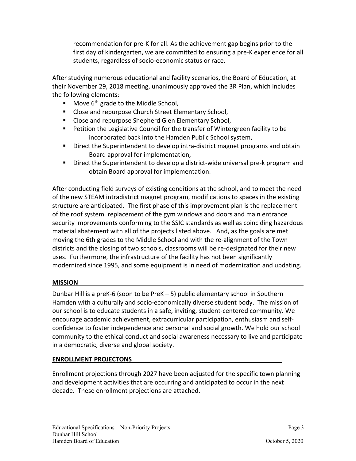recommendation for pre‐K for all. As the achievement gap begins prior to the first day of kindergarten, we are committed to ensuring a pre‐K experience for all students, regardless of socio‐economic status or race.

After studying numerous educational and facility scenarios, the Board of Education, at their November 29, 2018 meeting, unanimously approved the 3R Plan, which includes the following elements:

- Move  $6<sup>th</sup>$  grade to the Middle School,
- **E** Close and repurpose Church Street Elementary School,
- **E** Close and repurpose Shepherd Glen Elementary School,
- **Petition the Legislative Council for the transfer of Wintergreen facility to be** incorporated back into the Hamden Public School system,
- Direct the Superintendent to develop intra-district magnet programs and obtain Board approval for implementation,
- Direct the Superintendent to develop a district-wide universal pre-k program and obtain Board approval for implementation.

After conducting field surveys of existing conditions at the school, and to meet the need of the new STEAM intradistrict magnet program, modifications to spaces in the existing structure are anticipated. The first phase of this improvement plan is the replacement of the roof system. replacement of the gym windows and doors and main entrance security improvements conforming to the SSIC standards as well as coinciding hazardous material abatement with all of the projects listed above. And, as the goals are met moving the 6th grades to the Middle School and with the re‐alignment of the Town districts and the closing of two schools, classrooms will be re‐designated for their new uses. Furthermore, the infrastructure of the facility has not been significantly modernized since 1995, and some equipment is in need of modernization and updating.

# **MISSION**

Dunbar Hill is a preK‐6 (soon to be PreK – 5) public elementary school in Southern Hamden with a culturally and socio‐economically diverse student body. The mission of our school is to educate students in a safe, inviting, student‐centered community. We encourage academic achievement, extracurricular participation, enthusiasm and self‐ confidence to foster independence and personal and social growth. We hold our school community to the ethical conduct and social awareness necessary to live and participate in a democratic, diverse and global society.

### **ENROLLMENT PROJECTONS**

Enrollment projections through 2027 have been adjusted for the specific town planning and development activities that are occurring and anticipated to occur in the next decade. These enrollment projections are attached.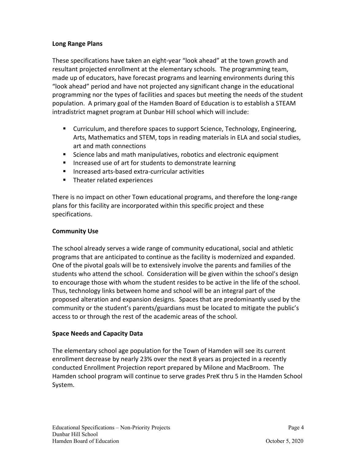# **Long Range Plans**

These specifications have taken an eight‐year "look ahead" at the town growth and resultant projected enrollment at the elementary schools. The programming team, made up of educators, have forecast programs and learning environments during this "look ahead" period and have not projected any significant change in the educational programming nor the types of facilities and spaces but meeting the needs of the student population. A primary goal of the Hamden Board of Education is to establish a STEAM intradistrict magnet program at Dunbar Hill school which will include:

- Curriculum, and therefore spaces to support Science, Technology, Engineering, Arts, Mathematics and STEM, tops in reading materials in ELA and social studies, art and math connections
- Science labs and math manipulatives, robotics and electronic equipment
- **IF Increased use of art for students to demonstrate learning**
- Increased arts-based extra-curricular activities
- **Theater related experiences**

There is no impact on other Town educational programs, and therefore the long‐range plans for this facility are incorporated within this specific project and these specifications.

# **Community Use**

The school already serves a wide range of community educational, social and athletic programs that are anticipated to continue as the facility is modernized and expanded. One of the pivotal goals will be to extensively involve the parents and families of the students who attend the school. Consideration will be given within the school's design to encourage those with whom the student resides to be active in the life of the school. Thus, technology links between home and school will be an integral part of the proposed alteration and expansion designs. Spaces that are predominantly used by the community or the student's parents/guardians must be located to mitigate the public's access to or through the rest of the academic areas of the school.

### **Space Needs and Capacity Data**

The elementary school age population for the Town of Hamden will see its current enrollment decrease by nearly 23% over the next 8 years as projected in a recently conducted Enrollment Projection report prepared by Milone and MacBroom. The Hamden school program will continue to serve grades PreK thru 5 in the Hamden School System.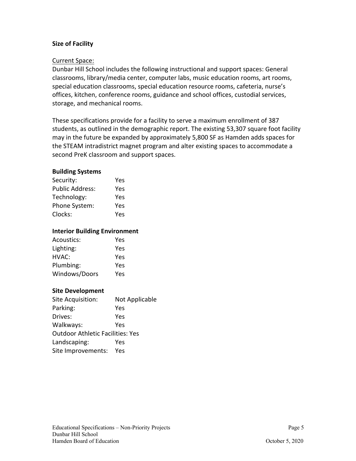# **Size of Facility**

### Current Space:

Dunbar Hill School includes the following instructional and support spaces: General classrooms, library/media center, computer labs, music education rooms, art rooms, special education classrooms, special education resource rooms, cafeteria, nurse's offices, kitchen, conference rooms, guidance and school offices, custodial services, storage, and mechanical rooms.

These specifications provide for a facility to serve a maximum enrollment of 387 students, as outlined in the demographic report. The existing 53,307 square foot facility may in the future be expanded by approximately 5,800 SF as Hamden adds spaces for the STEAM intradistrict magnet program and alter existing spaces to accommodate a second PreK classroom and support spaces.

### **Building Systems**

| Security:              | Yes |
|------------------------|-----|
| <b>Public Address:</b> | Yes |
| Technology:            | Yes |
| Phone System:          | Yes |
| Clocks:                | Yes |

#### **Interior Building Environment**

| Acoustics:    | Yes |
|---------------|-----|
| Lighting:     | Yes |
| HVAC:         | Yes |
| Plumbing:     | Yes |
| Windows/Doors | Yes |

### **Site Development**

| Site Acquisition:                       | Not Applicable |  |
|-----------------------------------------|----------------|--|
| Parking:                                | Yes            |  |
| Drives:                                 | Yes            |  |
| Walkways:                               | Yes            |  |
| <b>Outdoor Athletic Facilities: Yes</b> |                |  |
| Landscaping:                            | Yes            |  |
| Site Improvements:                      | Yes            |  |
|                                         |                |  |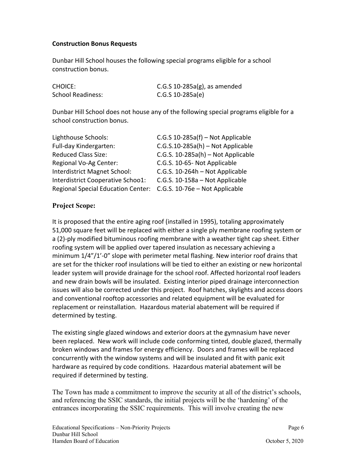# **Construction Bonus Requests**

Dunbar Hill School houses the following special programs eligible for a school construction bonus.

| <b>CHOICE:</b>    | C.G.S $10-285a(g)$ , as amended |
|-------------------|---------------------------------|
| School Readiness: | $C.G.S. 10-285a(e)$             |

Dunbar Hill School does not house any of the following special programs eligible for a school construction bonus.

| Lighthouse Schools:                       | C.G.S 10-285a(f) - Not Applicable    |
|-------------------------------------------|--------------------------------------|
| Full-day Kindergarten:                    | $C.G.S.10-285a(h) - Not Applicable$  |
| <b>Reduced Class Size:</b>                | C.G.S. $10-285a(h)$ – Not Applicable |
| Regional Vo-Ag Center:                    | C.G.S. 10-65- Not Applicable         |
| Interdistrict Magnet School:              | C.G.S. 10-264h - Not Applicable      |
| Interdistrict Cooperative Schoo1:         | C.G.S. 10-158a - Not Applicable      |
| <b>Regional Special Education Center:</b> | C.G.S. 10-76e - Not Applicable       |

# **Project Scope:**

It is proposed that the entire aging roof (installed in 1995), totaling approximately 51,000 square feet will be replaced with either a single ply membrane roofing system or a (2)-ply modified bituminous roofing membrane with a weather tight cap sheet. Either roofing system will be applied over tapered insulation as necessary achieving a minimum 1/4"/1'-0" slope with perimeter metal flashing. New interior roof drains that are set for the thicker roof insulations will be tied to either an existing or new horizontal leader system will provide drainage for the school roof. Affected horizontal roof leaders and new drain bowls will be insulated. Existing interior piped drainage interconnection issues will also be corrected under this project. Roof hatches, skylights and access doors and conventional rooftop accessories and related equipment will be evaluated for replacement or reinstallation. Hazardous material abatement will be required if determined by testing.

The existing single glazed windows and exterior doors at the gymnasium have never been replaced. New work will include code conforming tinted, double glazed, thermally broken windows and frames for energy efficiency. Doors and frames will be replaced concurrently with the window systems and will be insulated and fit with panic exit hardware as required by code conditions. Hazardous material abatement will be required if determined by testing.

The Town has made a commitment to improve the security at all of the district's schools, and referencing the SSIC standards, the initial projects will be the 'hardening' of the entrances incorporating the SSIC requirements. This will involve creating the new